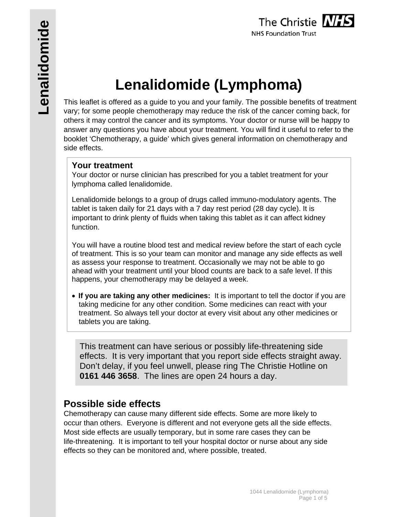# **Lenalidomide (Lymphoma)**

This leaflet is offered as a guide to you and your family. The possible benefits of treatment vary; for some people chemotherapy may reduce the risk of the cancer coming back, for others it may control the cancer and its symptoms. Your doctor or nurse will be happy to answer any questions you have about your treatment. You will find it useful to refer to the booklet 'Chemotherapy, a guide' which gives general information on chemotherapy and side effects.

### **Your treatment**

Your doctor or nurse clinician has prescribed for you a tablet treatment for your lymphoma called lenalidomide.

Lenalidomide belongs to a group of drugs called immuno-modulatory agents. The tablet is taken daily for 21 days with a 7 day rest period (28 day cycle). It is important to drink plenty of fluids when taking this tablet as it can affect kidney function.

You will have a routine blood test and medical review before the start of each cycle of treatment. This is so your team can monitor and manage any side effects as well as assess your response to treatment. Occasionally we may not be able to go ahead with your treatment until your blood counts are back to a safe level. If this happens, your chemotherapy may be delayed a week.

 **If you are taking any other medicines:** It is important to tell the doctor if you are taking medicine for any other condition. Some medicines can react with your treatment. So always tell your doctor at every visit about any other medicines or tablets you are taking.

This treatment can have serious or possibly life-threatening side effects. It is very important that you report side effects straight away. Don't delay, if you feel unwell, please ring The Christie Hotline on **0161 446 3658**. The lines are open 24 hours a day.

## **Possible side effects**

Chemotherapy can cause many different side effects. Some are more likely to occur than others. Everyone is different and not everyone gets all the side effects. Most side effects are usually temporary, but in some rare cases they can be life-threatening. It is important to tell your hospital doctor or nurse about any side effects so they can be monitored and, where possible, treated.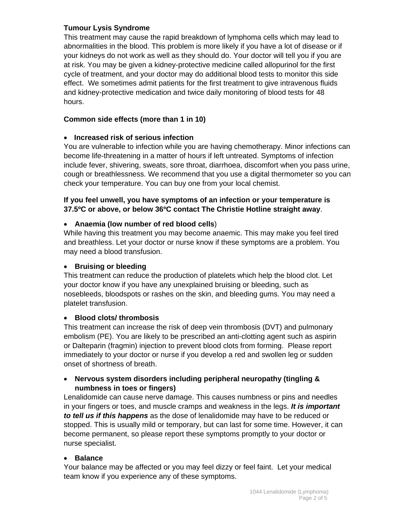#### **Tumour Lysis Syndrome**

This treatment may cause the rapid breakdown of lymphoma cells which may lead to abnormalities in the blood. This problem is more likely if you have a lot of disease or if your kidneys do not work as well as they should do. Your doctor will tell you if you are at risk. You may be given a kidney-protective medicine called allopurinol for the first cycle of treatment, and your doctor may do additional blood tests to monitor this side effect. We sometimes admit patients for the first treatment to give intravenous fluids and kidney-protective medication and twice daily monitoring of blood tests for 48 hours.

#### **Common side effects (more than 1 in 10)**

#### **Increased risk of serious infection**

You are vulnerable to infection while you are having chemotherapy. Minor infections can become life-threatening in a matter of hours if left untreated. Symptoms of infection include fever, shivering, sweats, sore throat, diarrhoea, discomfort when you pass urine, cough or breathlessness. We recommend that you use a digital thermometer so you can check your temperature. You can buy one from your local chemist.

#### **If you feel unwell, you have symptoms of an infection or your temperature is 37.5ºC or above, or below 36ºC contact The Christie Hotline straight away**.

#### **Anaemia (low number of red blood cells**)

While having this treatment you may become anaemic. This may make you feel tired and breathless. Let your doctor or nurse know if these symptoms are a problem. You may need a blood transfusion.

#### **Bruising or bleeding**

This treatment can reduce the production of platelets which help the blood clot. Let your doctor know if you have any unexplained bruising or bleeding, such as nosebleeds, bloodspots or rashes on the skin, and bleeding gums. You may need a platelet transfusion.

#### **Blood clots/ thrombosis**

This treatment can increase the risk of deep vein thrombosis (DVT) and pulmonary embolism (PE). You are likely to be prescribed an anti-clotting agent such as aspirin or Dalteparin (fragmin) injection to prevent blood clots from forming. Please report immediately to your doctor or nurse if you develop a red and swollen leg or sudden onset of shortness of breath.

#### **Nervous system disorders including peripheral neuropathy (tingling & numbness in toes or fingers)**

Lenalidomide can cause nerve damage. This causes numbness or pins and needles in your fingers or toes, and muscle cramps and weakness in the legs. *It is important to tell us if this happens* as the dose of lenalidomide may have to be reduced or stopped. This is usually mild or temporary, but can last for some time. However, it can become permanent, so please report these symptoms promptly to your doctor or nurse specialist.

#### **Balance**

Your balance may be affected or you may feel dizzy or feel faint. Let your medical team know if you experience any of these symptoms.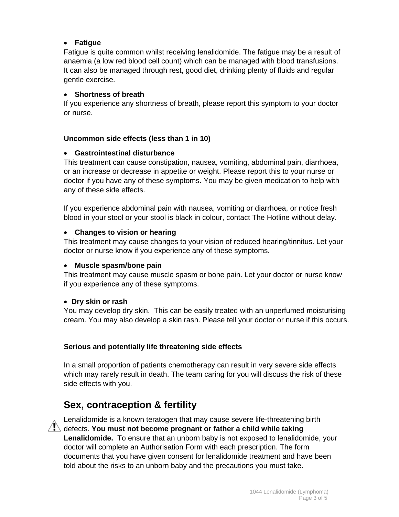#### **Fatigue**

Fatigue is quite common whilst receiving lenalidomide. The fatigue may be a result of anaemia (a low red blood cell count) which can be managed with blood transfusions. It can also be managed through rest, good diet, drinking plenty of fluids and regular gentle exercise.

#### **Shortness of breath**

If you experience any shortness of breath, please report this symptom to your doctor or nurse.

#### **Uncommon side effects (less than 1 in 10)**

#### **Gastrointestinal disturbance**

This treatment can cause constipation, nausea, vomiting, abdominal pain, diarrhoea, or an increase or decrease in appetite or weight. Please report this to your nurse or doctor if you have any of these symptoms. You may be given medication to help with any of these side effects.

If you experience abdominal pain with nausea, vomiting or diarrhoea, or notice fresh blood in your stool or your stool is black in colour, contact The Hotline without delay.

#### **Changes to vision or hearing**

This treatment may cause changes to your vision of reduced hearing/tinnitus. Let your doctor or nurse know if you experience any of these symptoms.

#### **Muscle spasm/bone pain**

This treatment may cause muscle spasm or bone pain. Let your doctor or nurse know if you experience any of these symptoms.

#### **Dry skin or rash**

You may develop dry skin. This can be easily treated with an unperfumed moisturising cream. You may also develop a skin rash. Please tell your doctor or nurse if this occurs.

#### **Serious and potentially life threatening side effects**

In a small proportion of patients chemotherapy can result in very severe side effects which may rarely result in death. The team caring for you will discuss the risk of these side effects with you.

# **Sex, contraception & fertility**



Lenalidomide is a known teratogen that may cause severe life-threatening birth  $\overline{\mathcal{A}}$  defects. **You must not become pregnant or father a child while taking Lenalidomide.** To ensure that an unborn baby is not exposed to lenalidomide, your doctor will complete an Authorisation Form with each prescription. The form documents that you have given consent for lenalidomide treatment and have been told about the risks to an unborn baby and the precautions you must take.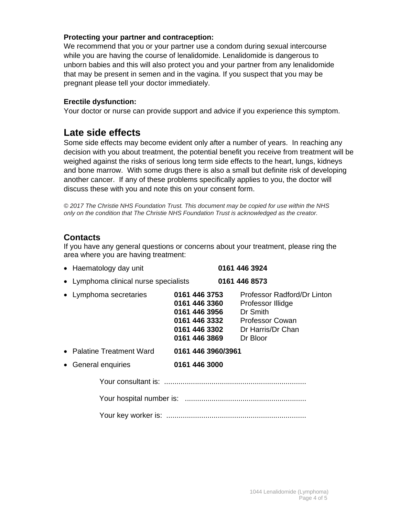#### **Protecting your partner and contraception:**

We recommend that you or your partner use a condom during sexual intercourse while you are having the course of lenalidomide. Lenalidomide is dangerous to unborn babies and this will also protect you and your partner from any lenalidomide that may be present in semen and in the vagina. If you suspect that you may be pregnant please tell your doctor immediately.

#### **Erectile dysfunction:**

Your doctor or nurse can provide support and advice if you experience this symptom.

# **Late side effects**

Some side effects may become evident only after a number of years. In reaching any decision with you about treatment, the potential benefit you receive from treatment will be weighed against the risks of serious long term side effects to the heart, lungs, kidneys and bone marrow. With some drugs there is also a small but definite risk of developing another cancer. If any of these problems specifically applies to you, the doctor will discuss these with you and note this on your consent form.

*© 2017 The Christie NHS Foundation Trust. This document may be copied for use within the NHS only on the condition that The Christie NHS Foundation Trust is acknowledged as the creator.*

## **Contacts**

If you have any general questions or concerns about your treatment, please ring the area where you are having treatment:

| • Haematology day unit                |                                                                                                    | 0161 446 3924                                                                                                           |
|---------------------------------------|----------------------------------------------------------------------------------------------------|-------------------------------------------------------------------------------------------------------------------------|
| • Lymphoma clinical nurse specialists |                                                                                                    | 0161 446 8573                                                                                                           |
| • Lymphoma secretaries                | 0161 446 3753<br>0161 446 3360<br>0161 446 3956<br>0161 446 3332<br>0161 446 3302<br>0161 446 3869 | Professor Radford/Dr Linton<br>Professor Illidge<br>Dr Smith<br><b>Professor Cowan</b><br>Dr Harris/Dr Chan<br>Dr Bloor |
| • Palatine Treatment Ward             | 0161 446 3960/3961                                                                                 |                                                                                                                         |
| • General enquiries                   | 0161 446 3000                                                                                      |                                                                                                                         |
|                                       |                                                                                                    |                                                                                                                         |
|                                       |                                                                                                    |                                                                                                                         |